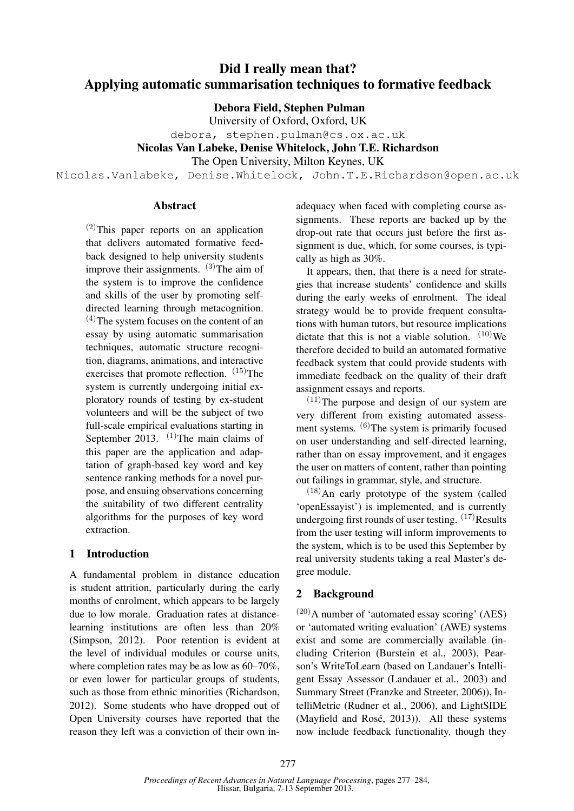# Did I really mean that? Applying automatic summarisation techniques to formative feedback

## Debora Field, Stephen Pulman

University of Oxford, Oxford, UK

debora, stephen.pulman@cs.ox.ac.uk

Nicolas Van Labeke, Denise Whitelock, John T.E. Richardson

The Open University, Milton Keynes, UK

Nicolas.Vanlabeke, Denise.Whitelock, John.T.E.Richardson@open.ac.uk

#### Abstract

(2)This paper reports on an application that delivers automated formative feedback designed to help university students improve their assignments.  $(3)$ The aim of the system is to improve the confidence and skills of the user by promoting selfdirected learning through metacognition.  $(4)$ The system focuses on the content of an essay by using automatic summarisation techniques, automatic structure recognition, diagrams, animations, and interactive exercises that promote reflection.  $(15)$ The system is currently undergoing initial exploratory rounds of testing by ex-student volunteers and will be the subject of two full-scale empirical evaluations starting in September 2013.  $(1)$ The main claims of this paper are the application and adaptation of graph-based key word and key sentence ranking methods for a novel purpose, and ensuing observations concerning the suitability of two different centrality algorithms for the purposes of key word extraction.

# 1 Introduction

A fundamental problem in distance education is student attrition, particularly during the early months of enrolment, which appears to be largely due to low morale. Graduation rates at distancelearning institutions are often less than 20% (Simpson, 2012). Poor retention is evident at the level of individual modules or course units, where completion rates may be as low as 60–70%, or even lower for particular groups of students, such as those from ethnic minorities (Richardson, 2012). Some students who have dropped out of Open University courses have reported that the reason they left was a conviction of their own in-

adequacy when faced with completing course assignments. These reports are backed up by the drop-out rate that occurs just before the first assignment is due, which, for some courses, is typically as high as 30%.

It appears, then, that there is a need for strategies that increase students' confidence and skills during the early weeks of enrolment. The ideal strategy would be to provide frequent consultations with human tutors, but resource implications dictate that this is not a viable solution.  $(10)$  We therefore decided to build an automated formative feedback system that could provide students with immediate feedback on the quality of their draft assignment essays and reports.

 $(11)$ The purpose and design of our system are very different from existing automated assessment systems. (6)The system is primarily focused on user understanding and self-directed learning, rather than on essay improvement, and it engages the user on matters of content, rather than pointing out failings in grammar, style, and structure.

 $(18)$ An early prototype of the system (called 'openEssayist') is implemented, and is currently undergoing first rounds of user testing.  $(17)$ Results from the user testing will inform improvements to the system, which is to be used this September by real university students taking a real Master's degree module.

# 2 Background

 $(20)$ A number of 'automated essay scoring' (AES) or 'automated writing evaluation' (AWE) systems exist and some are commercially available (including Criterion (Burstein et al., 2003), Pearson's WriteToLearn (based on Landauer's Intelligent Essay Assessor (Landauer et al., 2003) and Summary Street (Franzke and Streeter, 2006)), IntelliMetric (Rudner et al., 2006), and LightSIDE (Mayfield and Rosé, 2013)). All these systems now include feedback functionality, though they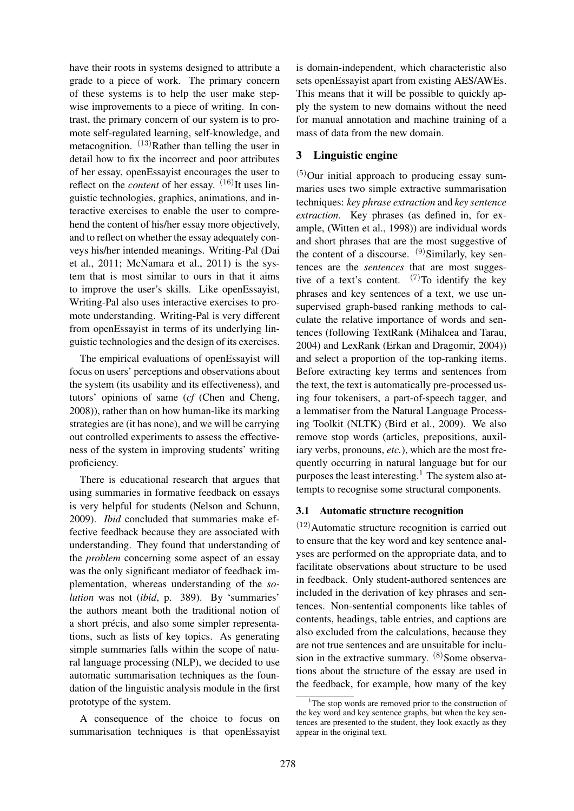have their roots in systems designed to attribute a grade to a piece of work. The primary concern of these systems is to help the user make stepwise improvements to a piece of writing. In contrast, the primary concern of our system is to promote self-regulated learning, self-knowledge, and metacognition.  $(13)$ Rather than telling the user in detail how to fix the incorrect and poor attributes of her essay, openEssayist encourages the user to reflect on the *content* of her essay.  $(16)$ It uses linguistic technologies, graphics, animations, and interactive exercises to enable the user to comprehend the content of his/her essay more objectively, and to reflect on whether the essay adequately conveys his/her intended meanings. Writing-Pal (Dai et al., 2011; McNamara et al., 2011) is the system that is most similar to ours in that it aims to improve the user's skills. Like openEssayist, Writing-Pal also uses interactive exercises to promote understanding. Writing-Pal is very different from openEssayist in terms of its underlying linguistic technologies and the design of its exercises.

The empirical evaluations of openEssayist will focus on users' perceptions and observations about the system (its usability and its effectiveness), and tutors' opinions of same (*cf* (Chen and Cheng, 2008)), rather than on how human-like its marking strategies are (it has none), and we will be carrying out controlled experiments to assess the effectiveness of the system in improving students' writing proficiency.

There is educational research that argues that using summaries in formative feedback on essays is very helpful for students (Nelson and Schunn, 2009). *Ibid* concluded that summaries make effective feedback because they are associated with understanding. They found that understanding of the *problem* concerning some aspect of an essay was the only significant mediator of feedback implementation, whereas understanding of the *solution* was not (*ibid*, p. 389). By 'summaries' the authors meant both the traditional notion of a short précis, and also some simpler representations, such as lists of key topics. As generating simple summaries falls within the scope of natural language processing (NLP), we decided to use automatic summarisation techniques as the foundation of the linguistic analysis module in the first prototype of the system.

A consequence of the choice to focus on summarisation techniques is that openEssayist

is domain-independent, which characteristic also sets openEssayist apart from existing AES/AWEs. This means that it will be possible to quickly apply the system to new domains without the need for manual annotation and machine training of a mass of data from the new domain.

# 3 Linguistic engine

 $(5)$ Our initial approach to producing essay summaries uses two simple extractive summarisation techniques: *key phrase extraction* and *key sentence extraction*. Key phrases (as defined in, for example, (Witten et al., 1998)) are individual words and short phrases that are the most suggestive of the content of a discourse.  $^{(9)}$ Similarly, key sentences are the *sentences* that are most suggestive of a text's content.  $(7)$ To identify the key phrases and key sentences of a text, we use unsupervised graph-based ranking methods to calculate the relative importance of words and sentences (following TextRank (Mihalcea and Tarau, 2004) and LexRank (Erkan and Dragomir, 2004)) and select a proportion of the top-ranking items. Before extracting key terms and sentences from the text, the text is automatically pre-processed using four tokenisers, a part-of-speech tagger, and a lemmatiser from the Natural Language Processing Toolkit (NLTK) (Bird et al., 2009). We also remove stop words (articles, prepositions, auxiliary verbs, pronouns, *etc.*), which are the most frequently occurring in natural language but for our purposes the least interesting.<sup>1</sup> The system also attempts to recognise some structural components.

## 3.1 Automatic structure recognition

 $(12)$ Automatic structure recognition is carried out to ensure that the key word and key sentence analyses are performed on the appropriate data, and to facilitate observations about structure to be used in feedback. Only student-authored sentences are included in the derivation of key phrases and sentences. Non-sentential components like tables of contents, headings, table entries, and captions are also excluded from the calculations, because they are not true sentences and are unsuitable for inclusion in the extractive summary.  $(8)$  Some observations about the structure of the essay are used in the feedback, for example, how many of the key

<sup>&</sup>lt;sup>1</sup>The stop words are removed prior to the construction of the key word and key sentence graphs, but when the key sentences are presented to the student, they look exactly as they appear in the original text.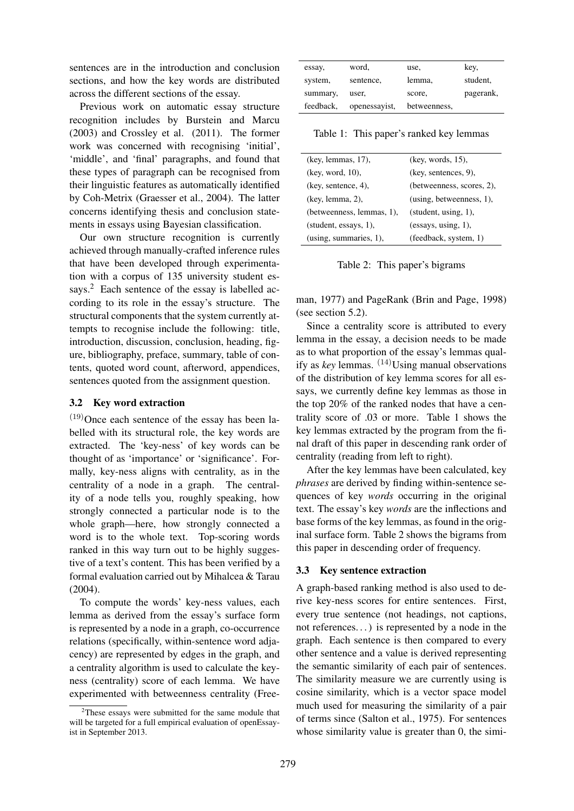sentences are in the introduction and conclusion sections, and how the key words are distributed across the different sections of the essay.

Previous work on automatic essay structure recognition includes by Burstein and Marcu (2003) and Crossley et al. (2011). The former work was concerned with recognising 'initial', 'middle', and 'final' paragraphs, and found that these types of paragraph can be recognised from their linguistic features as automatically identified by Coh-Metrix (Graesser et al., 2004). The latter concerns identifying thesis and conclusion statements in essays using Bayesian classification.

Our own structure recognition is currently achieved through manually-crafted inference rules that have been developed through experimentation with a corpus of 135 university student essays.<sup>2</sup> Each sentence of the essay is labelled according to its role in the essay's structure. The structural components that the system currently attempts to recognise include the following: title, introduction, discussion, conclusion, heading, figure, bibliography, preface, summary, table of contents, quoted word count, afterword, appendices, sentences quoted from the assignment question.

#### 3.2 Key word extraction

 $(19)$ Once each sentence of the essay has been labelled with its structural role, the key words are extracted. The 'key-ness' of key words can be thought of as 'importance' or 'significance'. Formally, key-ness aligns with centrality, as in the centrality of a node in a graph. The centrality of a node tells you, roughly speaking, how strongly connected a particular node is to the whole graph—here, how strongly connected a word is to the whole text. Top-scoring words ranked in this way turn out to be highly suggestive of a text's content. This has been verified by a formal evaluation carried out by Mihalcea & Tarau (2004).

To compute the words' key-ness values, each lemma as derived from the essay's surface form is represented by a node in a graph, co-occurrence relations (specifically, within-sentence word adjacency) are represented by edges in the graph, and a centrality algorithm is used to calculate the keyness (centrality) score of each lemma. We have experimented with betweenness centrality (Free-

| essay,    | word,         | use,         | key,      |
|-----------|---------------|--------------|-----------|
| system,   | sentence,     | lemma,       | student,  |
| summary,  | user,         | score,       | pagerank, |
| feedback, | openessayist, | betweenness, |           |

Table 1: This paper's ranked key lemmas

| (key, lemmas, 17),        | (key, words, 15),         |  |
|---------------------------|---------------------------|--|
| (key, word, 10),          | (key, sentences, 9),      |  |
| (key, sentence, 4),       | (betweenness, scores, 2), |  |
| (key, lemma, 2),          | (using, betweenness, 1),  |  |
| (betweenness, lemmas, 1), | (student, using, 1),      |  |
| (student, essays, 1),     | (essays, using, 1),       |  |
| (using, summaries, 1),    | (feedback, system, 1)     |  |

Table 2: This paper's bigrams

man, 1977) and PageRank (Brin and Page, 1998) (see section 5.2).

Since a centrality score is attributed to every lemma in the essay, a decision needs to be made as to what proportion of the essay's lemmas qualify as *key* lemmas. (14)Using manual observations of the distribution of key lemma scores for all essays, we currently define key lemmas as those in the top 20% of the ranked nodes that have a centrality score of .03 or more. Table 1 shows the key lemmas extracted by the program from the final draft of this paper in descending rank order of centrality (reading from left to right).

After the key lemmas have been calculated, key *phrases* are derived by finding within-sentence sequences of key *words* occurring in the original text. The essay's key *words* are the inflections and base forms of the key lemmas, as found in the original surface form. Table 2 shows the bigrams from this paper in descending order of frequency.

## 3.3 Key sentence extraction

A graph-based ranking method is also used to derive key-ness scores for entire sentences. First, every true sentence (not headings, not captions, not references. . . ) is represented by a node in the graph. Each sentence is then compared to every other sentence and a value is derived representing the semantic similarity of each pair of sentences. The similarity measure we are currently using is cosine similarity, which is a vector space model much used for measuring the similarity of a pair of terms since (Salton et al., 1975). For sentences whose similarity value is greater than 0, the simi-

 $2$ These essays were submitted for the same module that will be targeted for a full empirical evaluation of openEssayist in September 2013.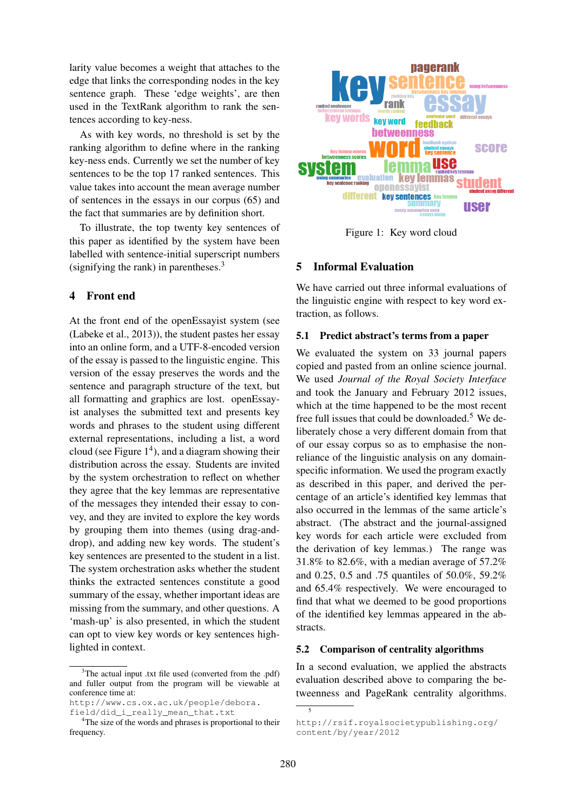larity value becomes a weight that attaches to the edge that links the corresponding nodes in the key sentence graph. These 'edge weights', are then used in the TextRank algorithm to rank the sentences according to key-ness.

As with key words, no threshold is set by the ranking algorithm to define where in the ranking key-ness ends. Currently we set the number of key sentences to be the top 17 ranked sentences. This value takes into account the mean average number of sentences in the essays in our corpus (65) and the fact that summaries are by definition short.

To illustrate, the top twenty key sentences of this paper as identified by the system have been labelled with sentence-initial superscript numbers (signifying the rank) in parentheses.<sup>3</sup>

## 4 Front end

At the front end of the openEssayist system (see (Labeke et al., 2013)), the student pastes her essay into an online form, and a UTF-8-encoded version of the essay is passed to the linguistic engine. This version of the essay preserves the words and the sentence and paragraph structure of the text, but all formatting and graphics are lost. openEssayist analyses the submitted text and presents key words and phrases to the student using different external representations, including a list, a word cloud (see Figure  $1<sup>4</sup>$ ), and a diagram showing their distribution across the essay. Students are invited by the system orchestration to reflect on whether they agree that the key lemmas are representative of the messages they intended their essay to convey, and they are invited to explore the key words by grouping them into themes (using drag-anddrop), and adding new key words. The student's key sentences are presented to the student in a list. The system orchestration asks whether the student thinks the extracted sentences constitute a good summary of the essay, whether important ideas are missing from the summary, and other questions. A 'mash-up' is also presented, in which the student can opt to view key words or key sentences highlighted in context.

http://www.cs.ox.ac.uk/people/debora. field/did\_i\_really\_mean\_that.txt



Figure 1: Key word cloud

# 5 Informal Evaluation

We have carried out three informal evaluations of the linguistic engine with respect to key word extraction, as follows.

#### 5.1 Predict abstract's terms from a paper

We evaluated the system on 33 journal papers copied and pasted from an online science journal. We used *Journal of the Royal Society Interface* and took the January and February 2012 issues, which at the time happened to be the most recent free full issues that could be downloaded.<sup>5</sup> We deliberately chose a very different domain from that of our essay corpus so as to emphasise the nonreliance of the linguistic analysis on any domainspecific information. We used the program exactly as described in this paper, and derived the percentage of an article's identified key lemmas that also occurred in the lemmas of the same article's abstract. (The abstract and the journal-assigned key words for each article were excluded from the derivation of key lemmas.) The range was 31.8% to 82.6%, with a median average of 57.2% and 0.25, 0.5 and .75 quantiles of 50.0%, 59.2% and 65.4% respectively. We were encouraged to find that what we deemed to be good proportions of the identified key lemmas appeared in the abstracts.

#### 5.2 Comparison of centrality algorithms

In a second evaluation, we applied the abstracts evaluation described above to comparing the betweenness and PageRank centrality algorithms.

5

<sup>&</sup>lt;sup>3</sup>The actual input .txt file used (converted from the .pdf) and fuller output from the program will be viewable at conference time at:

<sup>&</sup>lt;sup>4</sup>The size of the words and phrases is proportional to their frequency.

http://rsif.royalsocietypublishing.org/ content/by/year/2012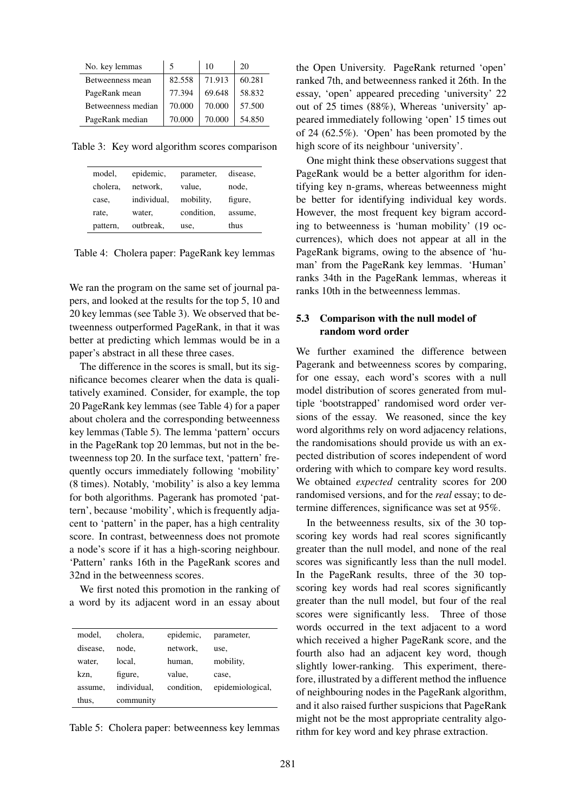| No. key lemmas     | 5      | 10     | 20     |
|--------------------|--------|--------|--------|
| Betweenness mean   | 82.558 | 71.913 | 60.281 |
| PageRank mean      | 77.394 | 69.648 | 58.832 |
| Betweenness median | 70.000 | 70.000 | 57.500 |
| PageRank median    | 70.000 | 70.000 | 54.850 |

Table 3: Key word algorithm scores comparison

| model,   | epidemic,   | parameter, | disease, |
|----------|-------------|------------|----------|
| cholera. | network,    | value,     | node,    |
| case,    | individual, | mobility,  | figure,  |
| rate,    | water,      | condition, | assume.  |
| pattern, | outbreak,   | use,       | thus     |

Table 4: Cholera paper: PageRank key lemmas

We ran the program on the same set of journal papers, and looked at the results for the top 5, 10 and 20 key lemmas (see Table 3). We observed that betweenness outperformed PageRank, in that it was better at predicting which lemmas would be in a paper's abstract in all these three cases.

The difference in the scores is small, but its significance becomes clearer when the data is qualitatively examined. Consider, for example, the top 20 PageRank key lemmas (see Table 4) for a paper about cholera and the corresponding betweenness key lemmas (Table 5). The lemma 'pattern' occurs in the PageRank top 20 lemmas, but not in the betweenness top 20. In the surface text, 'pattern' frequently occurs immediately following 'mobility' (8 times). Notably, 'mobility' is also a key lemma for both algorithms. Pagerank has promoted 'pattern', because 'mobility', which is frequently adjacent to 'pattern' in the paper, has a high centrality score. In contrast, betweenness does not promote a node's score if it has a high-scoring neighbour. 'Pattern' ranks 16th in the PageRank scores and 32nd in the betweenness scores.

We first noted this promotion in the ranking of a word by its adjacent word in an essay about

| model.   | cholera.    | epidemic,  | parameter,       |
|----------|-------------|------------|------------------|
| disease, | node.       | network,   | use,             |
| water,   | local.      | human,     | mobility,        |
| kzn,     | figure,     | value,     | case,            |
| assume,  | individual, | condition. | epidemiological, |
| thus,    | community   |            |                  |
|          |             |            |                  |

Table 5: Cholera paper: betweenness key lemmas

the Open University. PageRank returned 'open' ranked 7th, and betweenness ranked it 26th. In the essay, 'open' appeared preceding 'university' 22 out of 25 times (88%), Whereas 'university' appeared immediately following 'open' 15 times out of 24 (62.5%). 'Open' has been promoted by the high score of its neighbour 'university'.

One might think these observations suggest that PageRank would be a better algorithm for identifying key n-grams, whereas betweenness might be better for identifying individual key words. However, the most frequent key bigram according to betweenness is 'human mobility' (19 occurrences), which does not appear at all in the PageRank bigrams, owing to the absence of 'human' from the PageRank key lemmas. 'Human' ranks 34th in the PageRank lemmas, whereas it ranks 10th in the betweenness lemmas.

## 5.3 Comparison with the null model of random word order

We further examined the difference between Pagerank and betweenness scores by comparing, for one essay, each word's scores with a null model distribution of scores generated from multiple 'bootstrapped' randomised word order versions of the essay. We reasoned, since the key word algorithms rely on word adjacency relations, the randomisations should provide us with an expected distribution of scores independent of word ordering with which to compare key word results. We obtained *expected* centrality scores for 200 randomised versions, and for the *real* essay; to determine differences, significance was set at 95%.

In the betweenness results, six of the 30 topscoring key words had real scores significantly greater than the null model, and none of the real scores was significantly less than the null model. In the PageRank results, three of the 30 topscoring key words had real scores significantly greater than the null model, but four of the real scores were significantly less. Three of those words occurred in the text adjacent to a word which received a higher PageRank score, and the fourth also had an adjacent key word, though slightly lower-ranking. This experiment, therefore, illustrated by a different method the influence of neighbouring nodes in the PageRank algorithm, and it also raised further suspicions that PageRank might not be the most appropriate centrality algorithm for key word and key phrase extraction.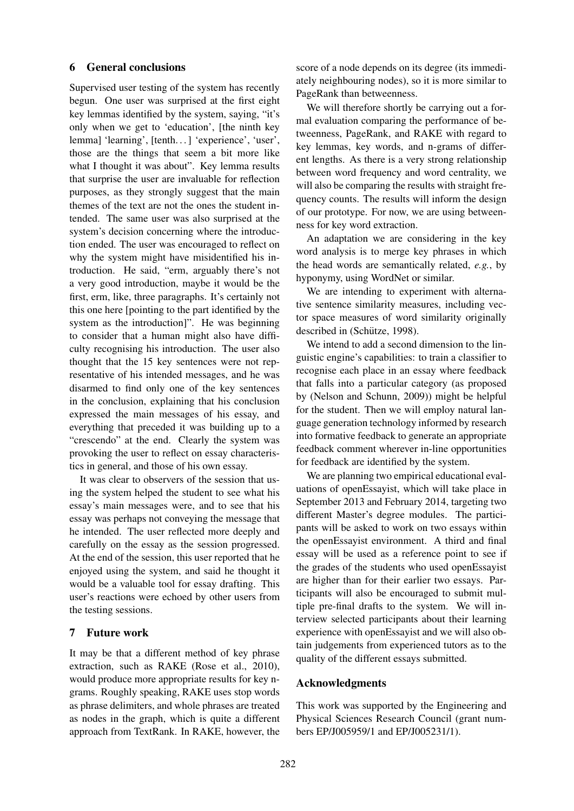# 6 General conclusions

Supervised user testing of the system has recently begun. One user was surprised at the first eight key lemmas identified by the system, saying, "it's only when we get to 'education', [the ninth key lemma] 'learning', [tenth. . . ] 'experience', 'user', those are the things that seem a bit more like what I thought it was about". Key lemma results that surprise the user are invaluable for reflection purposes, as they strongly suggest that the main themes of the text are not the ones the student intended. The same user was also surprised at the system's decision concerning where the introduction ended. The user was encouraged to reflect on why the system might have misidentified his introduction. He said, "erm, arguably there's not a very good introduction, maybe it would be the first, erm, like, three paragraphs. It's certainly not this one here [pointing to the part identified by the system as the introduction]". He was beginning to consider that a human might also have difficulty recognising his introduction. The user also thought that the 15 key sentences were not representative of his intended messages, and he was disarmed to find only one of the key sentences in the conclusion, explaining that his conclusion expressed the main messages of his essay, and everything that preceded it was building up to a "crescendo" at the end. Clearly the system was provoking the user to reflect on essay characteristics in general, and those of his own essay.

It was clear to observers of the session that using the system helped the student to see what his essay's main messages were, and to see that his essay was perhaps not conveying the message that he intended. The user reflected more deeply and carefully on the essay as the session progressed. At the end of the session, this user reported that he enjoyed using the system, and said he thought it would be a valuable tool for essay drafting. This user's reactions were echoed by other users from the testing sessions.

## 7 Future work

It may be that a different method of key phrase extraction, such as RAKE (Rose et al., 2010), would produce more appropriate results for key ngrams. Roughly speaking, RAKE uses stop words as phrase delimiters, and whole phrases are treated as nodes in the graph, which is quite a different approach from TextRank. In RAKE, however, the score of a node depends on its degree (its immediately neighbouring nodes), so it is more similar to PageRank than betweenness.

We will therefore shortly be carrying out a formal evaluation comparing the performance of betweenness, PageRank, and RAKE with regard to key lemmas, key words, and n-grams of different lengths. As there is a very strong relationship between word frequency and word centrality, we will also be comparing the results with straight frequency counts. The results will inform the design of our prototype. For now, we are using betweenness for key word extraction.

An adaptation we are considering in the key word analysis is to merge key phrases in which the head words are semantically related, *e.g.*, by hyponymy, using WordNet or similar.

We are intending to experiment with alternative sentence similarity measures, including vector space measures of word similarity originally described in (Schütze, 1998).

We intend to add a second dimension to the linguistic engine's capabilities: to train a classifier to recognise each place in an essay where feedback that falls into a particular category (as proposed by (Nelson and Schunn, 2009)) might be helpful for the student. Then we will employ natural language generation technology informed by research into formative feedback to generate an appropriate feedback comment wherever in-line opportunities for feedback are identified by the system.

We are planning two empirical educational evaluations of openEssayist, which will take place in September 2013 and February 2014, targeting two different Master's degree modules. The participants will be asked to work on two essays within the openEssayist environment. A third and final essay will be used as a reference point to see if the grades of the students who used openEssayist are higher than for their earlier two essays. Participants will also be encouraged to submit multiple pre-final drafts to the system. We will interview selected participants about their learning experience with openEssayist and we will also obtain judgements from experienced tutors as to the quality of the different essays submitted.

## Acknowledgments

This work was supported by the Engineering and Physical Sciences Research Council (grant numbers EP/J005959/1 and EP/J005231/1).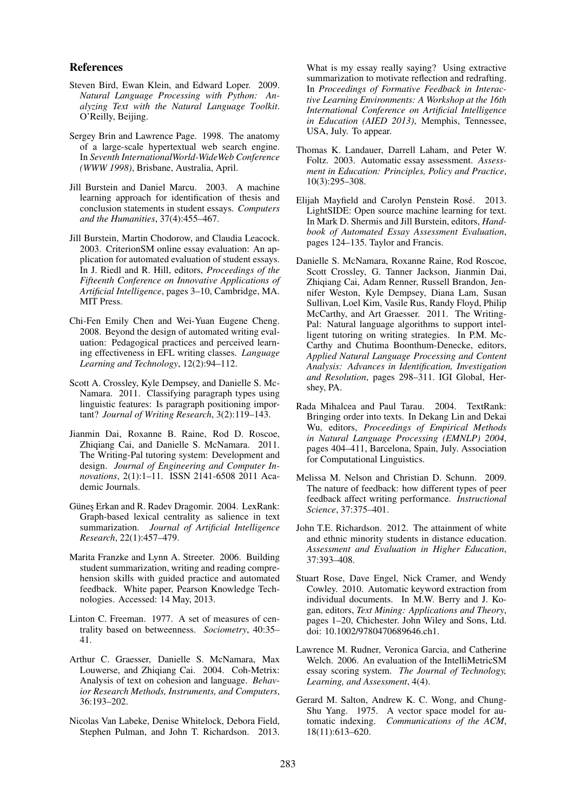#### References

- Steven Bird, Ewan Klein, and Edward Loper. 2009. *Natural Language Processing with Python: Analyzing Text with the Natural Language Toolkit*. O'Reilly, Beijing.
- Sergey Brin and Lawrence Page. 1998. The anatomy of a large-scale hypertextual web search engine. In *Seventh InternationalWorld-WideWeb Conference (WWW 1998)*, Brisbane, Australia, April.
- Jill Burstein and Daniel Marcu. 2003. A machine learning approach for identification of thesis and conclusion statements in student essays. *Computers and the Humanities*, 37(4):455–467.
- Jill Burstein, Martin Chodorow, and Claudia Leacock. 2003. CriterionSM online essay evaluation: An application for automated evaluation of student essays. In J. Riedl and R. Hill, editors, *Proceedings of the Fifteenth Conference on Innovative Applications of Artificial Intelligence*, pages 3–10, Cambridge, MA. MIT Press.
- Chi-Fen Emily Chen and Wei-Yuan Eugene Cheng. 2008. Beyond the design of automated writing evaluation: Pedagogical practices and perceived learning effectiveness in EFL writing classes. *Language Learning and Technology*, 12(2):94–112.
- Scott A. Crossley, Kyle Dempsey, and Danielle S. Mc-Namara. 2011. Classifying paragraph types using linguistic features: Is paragraph positioning important? *Journal of Writing Research*, 3(2):119–143.
- Jianmin Dai, Roxanne B. Raine, Rod D. Roscoe, Zhiqiang Cai, and Danielle S. McNamara. 2011. The Writing-Pal tutoring system: Development and design. *Journal of Engineering and Computer Innovations*, 2(1):1–11. ISSN 2141-6508 2011 Academic Journals.
- Günes Erkan and R. Radev Dragomir. 2004. LexRank: Graph-based lexical centrality as salience in text summarization. *Journal of Artificial Intelligence Research*, 22(1):457–479.
- Marita Franzke and Lynn A. Streeter. 2006. Building student summarization, writing and reading comprehension skills with guided practice and automated feedback. White paper, Pearson Knowledge Technologies. Accessed: 14 May, 2013.
- Linton C. Freeman. 1977. A set of measures of centrality based on betweenness. *Sociometry*, 40:35– 41.
- Arthur C. Graesser, Danielle S. McNamara, Max Louwerse, and Zhiqiang Cai. 2004. Coh-Metrix: Analysis of text on cohesion and language. *Behavior Research Methods, Instruments, and Computers*, 36:193–202.
- Nicolas Van Labeke, Denise Whitelock, Debora Field, Stephen Pulman, and John T. Richardson. 2013.

What is my essay really saying? Using extractive summarization to motivate reflection and redrafting. In *Proceedings of Formative Feedback in Interactive Learning Environments: A Workshop at the 16th International Conference on Artificial Intelligence in Education (AIED 2013)*, Memphis, Tennessee, USA, July. To appear.

- Thomas K. Landauer, Darrell Laham, and Peter W. Foltz. 2003. Automatic essay assessment. *Assessment in Education: Principles, Policy and Practice*, 10(3):295–308.
- Elijah Mayfield and Carolyn Penstein Rosé. 2013. LightSIDE: Open source machine learning for text. In Mark D. Shermis and Jill Burstein, editors, *Handbook of Automated Essay Assessment Evaluation*, pages 124–135. Taylor and Francis.
- Danielle S. McNamara, Roxanne Raine, Rod Roscoe, Scott Crossley, G. Tanner Jackson, Jianmin Dai, Zhiqiang Cai, Adam Renner, Russell Brandon, Jennifer Weston, Kyle Dempsey, Diana Lam, Susan Sullivan, Loel Kim, Vasile Rus, Randy Floyd, Philip McCarthy, and Art Graesser. 2011. The Writing-Pal: Natural language algorithms to support intelligent tutoring on writing strategies. In P.M. Mc-Carthy and Chutima Boonthum-Denecke, editors, *Applied Natural Language Processing and Content Analysis: Advances in Identification, Investigation and Resolution*, pages 298–311. IGI Global, Hershey, PA.
- Rada Mihalcea and Paul Tarau. 2004. TextRank: Bringing order into texts. In Dekang Lin and Dekai Wu, editors, *Proceedings of Empirical Methods in Natural Language Processing (EMNLP) 2004*, pages 404–411, Barcelona, Spain, July. Association for Computational Linguistics.
- Melissa M. Nelson and Christian D. Schunn. 2009. The nature of feedback: how different types of peer feedback affect writing performance. *Instructional Science*, 37:375–401.
- John T.E. Richardson. 2012. The attainment of white and ethnic minority students in distance education. *Assessment and Evaluation in Higher Education*, 37:393–408.
- Stuart Rose, Dave Engel, Nick Cramer, and Wendy Cowley. 2010. Automatic keyword extraction from individual documents. In M.W. Berry and J. Kogan, editors, *Text Mining: Applications and Theory*, pages 1–20, Chichester. John Wiley and Sons, Ltd. doi: 10.1002/9780470689646.ch1.
- Lawrence M. Rudner, Veronica Garcia, and Catherine Welch. 2006. An evaluation of the IntelliMetricSM essay scoring system. *The Journal of Technology, Learning, and Assessment*, 4(4).
- Gerard M. Salton, Andrew K. C. Wong, and Chung-Shu Yang. 1975. A vector space model for automatic indexing. *Communications of the ACM*, 18(11):613–620.